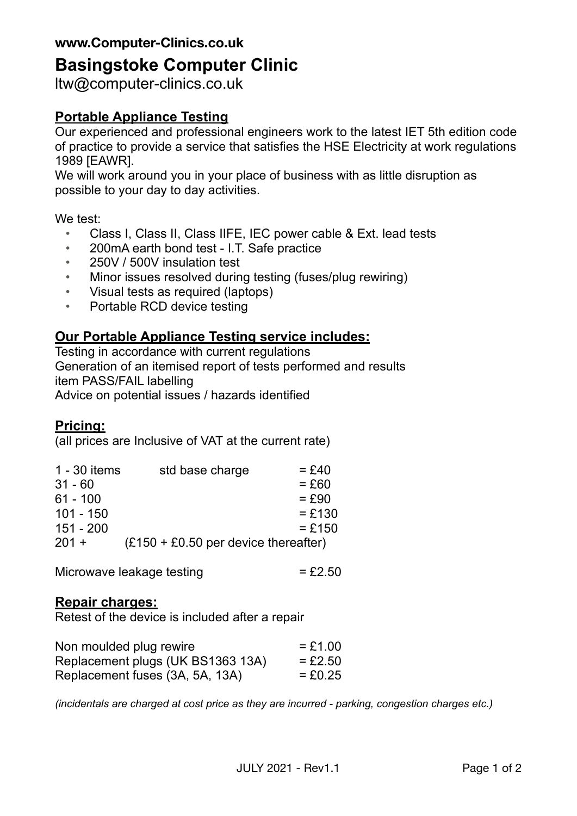### **www.Computer-Clinics.co.uk**

# **Basingstoke Computer Clinic**

ltw@computer-clinics.co.uk

# **Portable Appliance Testing**

Our experienced and professional engineers work to the latest IET 5th edition code of practice to provide a service that satisfies the HSE Electricity at work regulations 1989 [EAWR].

We will work around you in your place of business with as little disruption as possible to your day to day activities.

We test:

- Class I, Class II, Class IIFE, IEC power cable & Ext. lead tests
- 200mA earth bond test I.T. Safe practice
- 250V / 500V insulation test
- Minor issues resolved during testing (fuses/plug rewiring)
- Visual tests as required (laptops)
- Portable RCD device testing

### **Our Portable Appliance Testing service includes:**

Testing in accordance with current regulations Generation of an itemised report of tests performed and results item PASS/FAIL labelling Advice on potential issues / hazards identified

### **Pricing:**

(all prices are Inclusive of VAT at the current rate)

| 1 - 30 items | std base charge                        | $=$ £40  |
|--------------|----------------------------------------|----------|
| $31 - 60$    |                                        | $= £60$  |
| $61 - 100$   |                                        | $=$ £90  |
| $101 - 150$  |                                        | $= £130$ |
| $151 - 200$  |                                        | $= £150$ |
| $201 +$      | $(E150 + E0.50$ per device thereafter) |          |

Microwave leakage testing  $= £2.50$ 

### **Repair charges:**

Retest of the device is included after a repair

| Non moulded plug rewire           | $= £1.00$ |
|-----------------------------------|-----------|
| Replacement plugs (UK BS1363 13A) | $= £2.50$ |
| Replacement fuses (3A, 5A, 13A)   | $= £0.25$ |

*(incidentals are charged at cost price as they are incurred - parking, congestion charges etc.)*